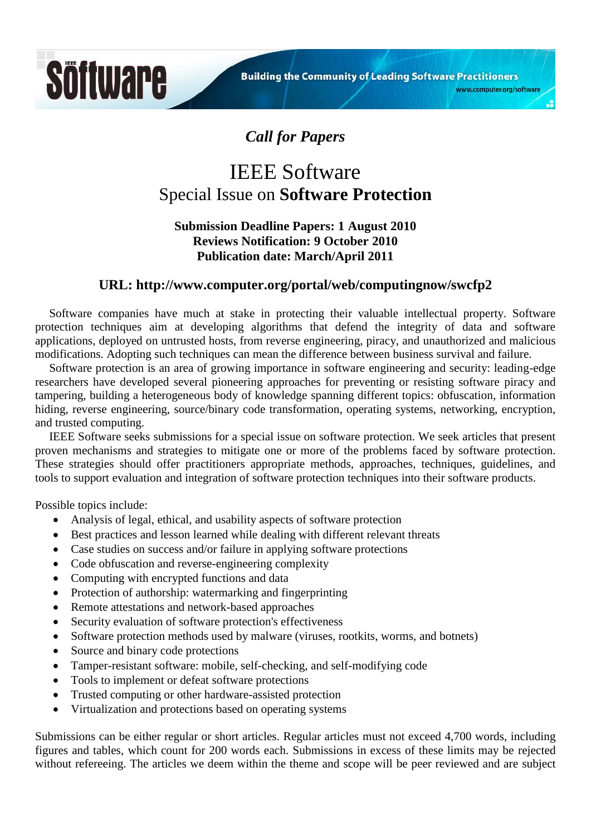

www.computer.org/software

## *Call for Papers*

# **IEEE** Software Special Issue on **Software Protection**

### **Submission Deadline Papers: 1 August 2010 Reviews Notification: 9 October 2010 Publication date: March/April 2011**

### **URL: http://www.computer.org/portal/web/computingnow/swcfp2**

Software companies have much at stake in protecting their valuable intellectual property. Software protection techniques aim at developing algorithms that defend the integrity of data and software applications, deployed on untrusted hosts, from reverse engineering, piracy, and unauthorized and malicious modifications. Adopting such techniques can mean the difference between business survival and failure.

Software protection is an area of growing importance in software engineering and security: leading-edge researchers have developed several pioneering approaches for preventing or resisting software piracy and tampering, building a heterogeneous body of knowledge spanning different topics: obfuscation, information hiding, reverse engineering, source/binary code transformation, operating systems, networking, encryption, and trusted computing.

IEEE Software seeks submissions for a special issue on software protection. We seek articles that present proven mechanisms and strategies to mitigate one or more of the problems faced by software protection. These strategies should offer practitioners appropriate methods, approaches, techniques, guidelines, and tools to support evaluation and integration of software protection techniques into their software products.

Possible topics include:

- Analysis of legal, ethical, and usability aspects of software protection
- Best practices and lesson learned while dealing with different relevant threats
- Case studies on success and/or failure in applying software protections
- Code obfuscation and reverse-engineering complexity
- Computing with encrypted functions and data
- Protection of authorship: watermarking and fingerprinting
- Remote attestations and network-based approaches
- Security evaluation of software protection's effectiveness
- Software protection methods used by malware (viruses, rootkits, worms, and botnets)
- Source and binary code protections
- Tamper-resistant software: mobile, self-checking, and self-modifying code
- Tools to implement or defeat software protections
- Trusted computing or other hardware-assisted protection
- Virtualization and protections based on operating systems

Submissions can be either regular or short articles. Regular articles must not exceed 4,700 words, including figures and tables, which count for 200 words each. Submissions in excess of these limits may be rejected without refereeing. The articles we deem within the theme and scope will be peer reviewed and are subject